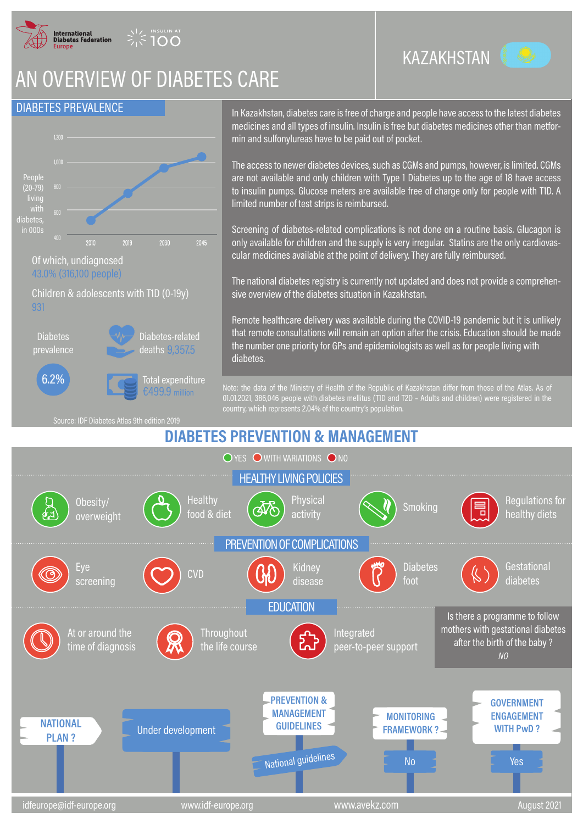

## AN OVERVIEW OF DIABETES CARE

## DIABETES PREVALENCE



Children & adolescents with T1D (0-19y) 931



Total expenditure Diabetes-related deaths 9,357.5



Source: IDF Diabetes Atlas 9th edition 2019

In Kazakhstan, diabetes care is free of charge and people have access to the latest diabetes medicines and all types of insulin. Insulin is free but diabetes medicines other than metformin and sulfonylureas have to be paid out of pocket.

The access to newer diabetes devices, such as CGMs and pumps, however, is limited. CGMs are not available and only children with Type 1 Diabetes up to the age of 18 have access to insulin pumps. Glucose meters are available free of charge only for people with T1D. A limited number of test strips is reimbursed.

Screening of diabetes-related complications is not done on a routine basis. Glucagon is only available for children and the supply is very irregular. Statins are the only cardiovascular medicines available at the point of delivery. They are fully reimbursed.

The national diabetes registry is currently not updated and does not provide a comprehensive overview of the diabetes situation in Kazakhstan.

Remote healthcare delivery was available during the COVID-19 pandemic but it is unlikely that remote consultations will remain an option after the crisis. Education should be made the number one priority for GPs and epidemiologists as well as for people living with diabetes.

Note: the data of the Ministry of Health of the Republic of Kazakhstan differ from those of the Atlas. As of 01.01.2021, 386,046 people with diabetes mellitus (T1D and T2D – Adults and children) were registered in the country, which represents 2.04% of the country's population.

## **DIABETES PREVENTION & MANAGEMENT**



KAZAKHSTAN

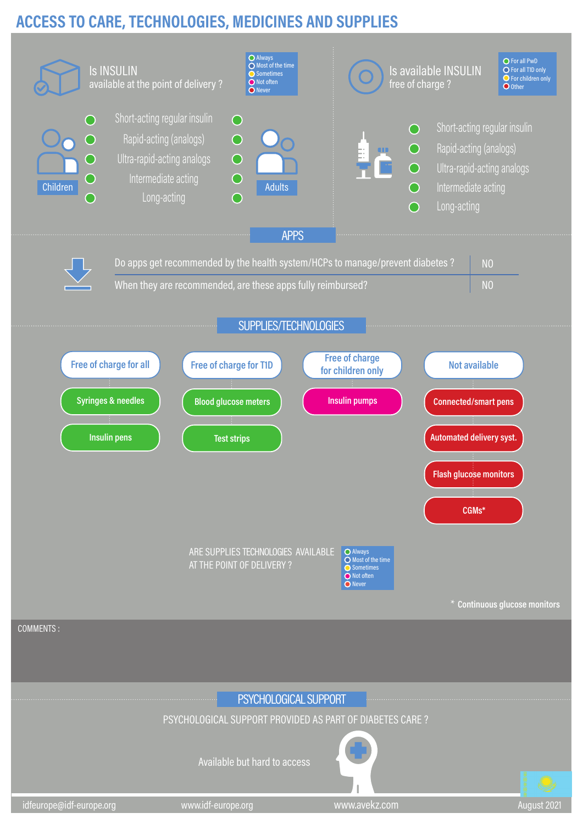## **ACCESS TO CARE, TECHNOLOGIES, MEDICINES AND SUPPLIES**